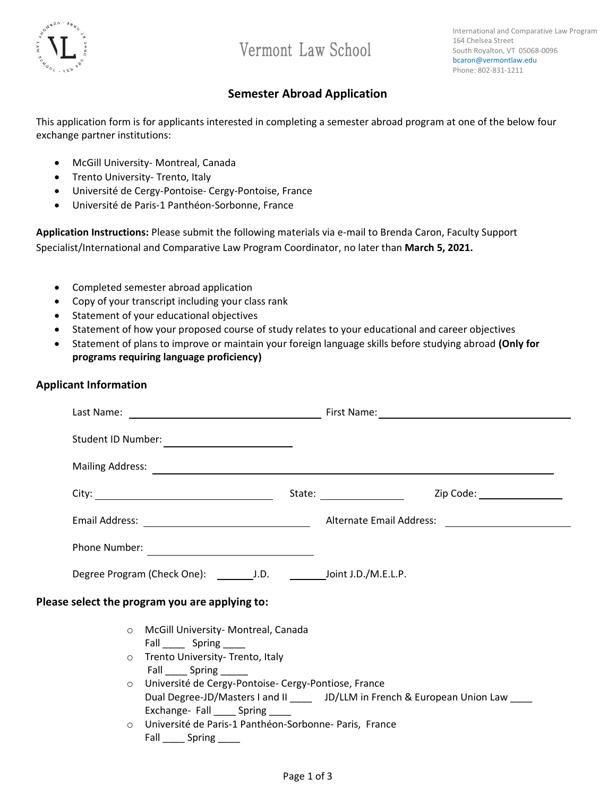

# Vermont Law School

International and Comparative Law Program 164 Chelsea Street South Royalton, VT 05068-0096 bcaron@vermontlaw.edu Phone: 802-831-1211

### **Semester Abroad Application**

This application form is for applicants interested in completing a semester abroad program at one of the below four exchange partner institutions:

- McGill University- Montreal, Canada
- Trento University- Trento, Italy
- Université de Cergy-Pontoise- Cergy-Pontoise, France
- Université de Paris-1 Panthéon-Sorbonne, France

**Application Instructions:** Please submit the following materials via e-mail to Brenda Caron, Faculty Support Specialist/International and Comparative Law Program Coordinator, no later than **March 5, 2021.** 

- Completed semester abroad application
- Copy of your transcript including your class rank
- Statement of your educational objectives
- Statement of how your proposed course of study relates to your educational and career objectives
- Statement of plans to improve or maintain your foreign language skills before studying abroad **(Only for programs requiring language proficiency)**

### **Applicant Information**

| Student ID Number:<br><u> </u>                                                                                                                                                                                                                                                                    |                                                                                  |                                                                                                                                                                                                                                |
|---------------------------------------------------------------------------------------------------------------------------------------------------------------------------------------------------------------------------------------------------------------------------------------------------|----------------------------------------------------------------------------------|--------------------------------------------------------------------------------------------------------------------------------------------------------------------------------------------------------------------------------|
|                                                                                                                                                                                                                                                                                                   |                                                                                  | Mailing Address: National Address: National Address: National Address: National Address: National Address: National Address: National Address: National Address: National Address: National Address: National Address: Nationa |
|                                                                                                                                                                                                                                                                                                   |                                                                                  | Zip Code: <u>Alexander State Andrew State Andrew State Andrew State Andrew State Andrew State Andrew State Andrew S</u>                                                                                                        |
|                                                                                                                                                                                                                                                                                                   |                                                                                  |                                                                                                                                                                                                                                |
|                                                                                                                                                                                                                                                                                                   |                                                                                  |                                                                                                                                                                                                                                |
| Degree Program (Check One): __________J.D. _______________Joint J.D./M.E.L.P.                                                                                                                                                                                                                     |                                                                                  |                                                                                                                                                                                                                                |
| Please select the program you are applying to:                                                                                                                                                                                                                                                    |                                                                                  |                                                                                                                                                                                                                                |
| O McGill University- Montreal, Canada<br>Fall ______ Spring _____<br>o Trento University- Trento, Italy<br>Fall Spring<br>O Université de Cergy-Pontoise-Cergy-Pontiose, France<br>Exchange- Fall ______ Spring ______<br>O Université de Paris-1 Panthéon-Sorbonne- Paris, France<br>Fall Spring | Dual Degree-JD/Masters I and II _____ JD/LLM in French & European Union Law ____ |                                                                                                                                                                                                                                |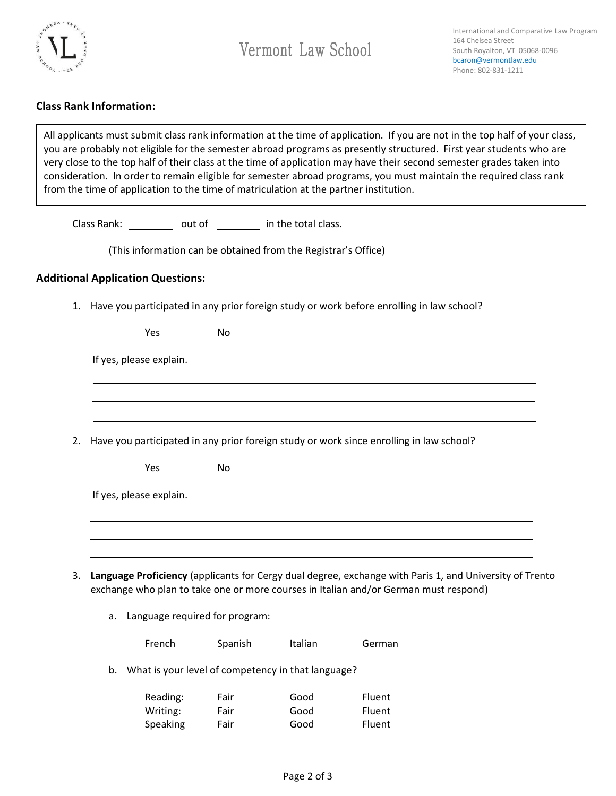

### **Class Rank Information:**

All applicants must submit class rank information at the time of application. If you are not in the top half of your class, you are probably not eligible for the semester abroad programs as presently structured. First year students who are very close to the top half of their class at the time of application may have their second semester grades taken into consideration. In order to remain eligible for semester abroad programs, you must maintain the required class rank from the time of application to the time of matriculation at the partner institution.

Class Rank: out of in the total class.

(This information can be obtained from the Registrar's Office)

#### **Additional Application Questions:**

1. Have you participated in any prior foreign study or work before enrolling in law school?

If yes, please explain.

2. Have you participated in any prior foreign study or work since enrolling in law school?

Yes No

Yes No

|  |  | If yes, please explain. |
|--|--|-------------------------|
|--|--|-------------------------|

- 3. **Language Proficiency** (applicants for Cergy dual degree, exchange with Paris 1, and University of Trento exchange who plan to take one or more courses in Italian and/or German must respond)
	- a. Language required for program:

|    | French   | Spanish | <b>Italian</b>                                     | German |
|----|----------|---------|----------------------------------------------------|--------|
| b. |          |         | What is your level of competency in that language? |        |
|    | Reading: | Fair    | Good                                               | Fluent |
|    | Writing: | Fair    | Good                                               | Fluent |
|    | Speaking | Fair    | Good                                               | Fluent |